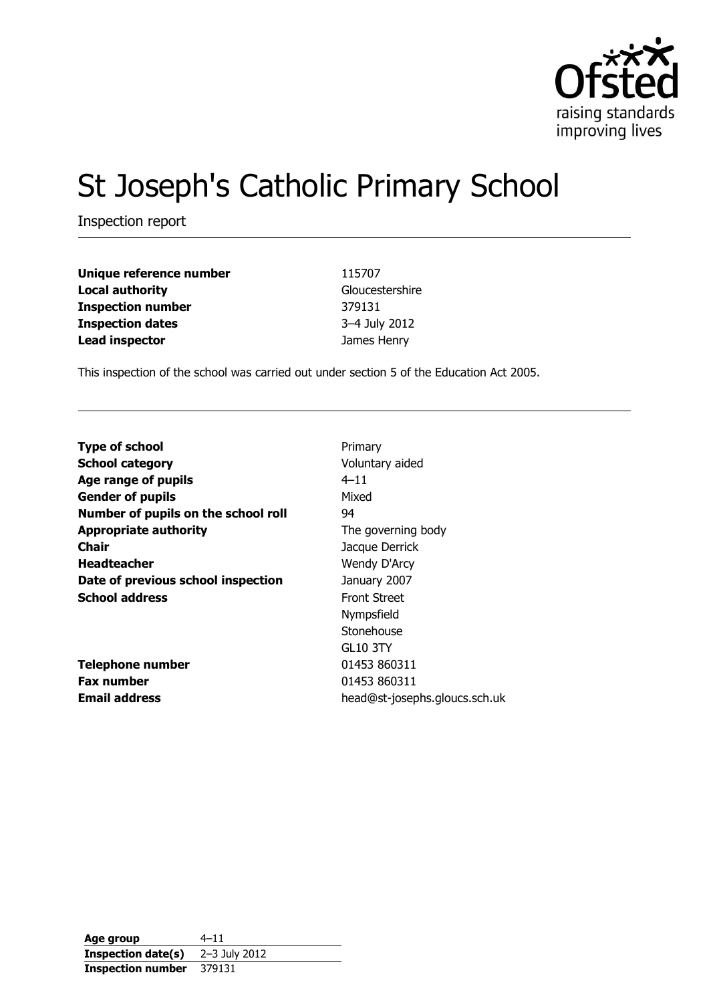

# St Joseph's Catholic Primary School

Inspection report

| Unique reference number  | 115707          |
|--------------------------|-----------------|
| <b>Local authority</b>   | Gloucestershire |
| <b>Inspection number</b> | 379131          |
| <b>Inspection dates</b>  | 3-4 July 2012   |
| <b>Lead inspector</b>    | James Henry     |

This inspection of the school was carried out under section 5 of the Education Act 2005.

| <b>Type of school</b>               | Primary                       |
|-------------------------------------|-------------------------------|
| <b>School category</b>              | Voluntary aided               |
| Age range of pupils                 | $4 - 11$                      |
| <b>Gender of pupils</b>             | Mixed                         |
| Number of pupils on the school roll | 94                            |
| <b>Appropriate authority</b>        | The governing body            |
| Chair                               | Jacque Derrick                |
| <b>Headteacher</b>                  | Wendy D'Arcy                  |
| Date of previous school inspection  | January 2007                  |
| <b>School address</b>               | <b>Front Street</b>           |
|                                     | Nympsfield                    |
|                                     | Stonehouse                    |
|                                     | <b>GL10 3TY</b>               |
| <b>Telephone number</b>             | 01453 860311                  |
| <b>Fax number</b>                   | 01453 860311                  |
| <b>Email address</b>                | head@st-josephs.gloucs.sch.uk |
|                                     |                               |

**Age group** 4–11 **Inspection date(s)** 2–3 July 2012 **Inspection number** 379131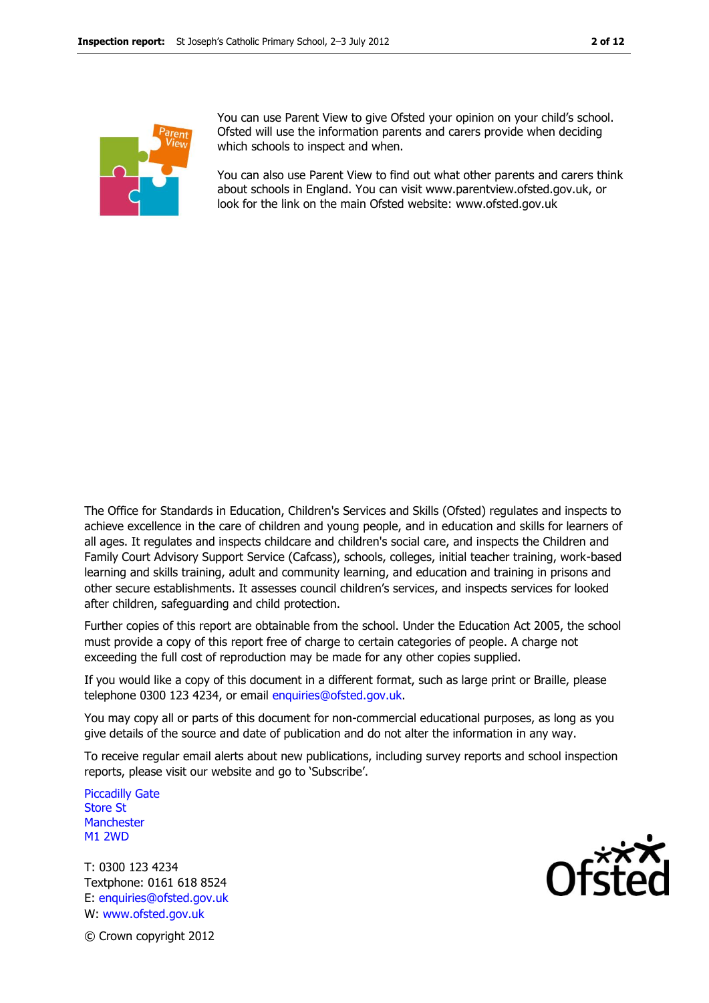

You can use Parent View to give Ofsted your opinion on your child's school. Ofsted will use the information parents and carers provide when deciding which schools to inspect and when.

You can also use Parent View to find out what other parents and carers think about schools in England. You can visit www.parentview.ofsted.gov.uk, or look for the link on the main Ofsted website: www.ofsted.gov.uk

The Office for Standards in Education, Children's Services and Skills (Ofsted) regulates and inspects to achieve excellence in the care of children and young people, and in education and skills for learners of all ages. It regulates and inspects childcare and children's social care, and inspects the Children and Family Court Advisory Support Service (Cafcass), schools, colleges, initial teacher training, work-based learning and skills training, adult and community learning, and education and training in prisons and other secure establishments. It assesses council children's services, and inspects services for looked after children, safeguarding and child protection.

Further copies of this report are obtainable from the school. Under the Education Act 2005, the school must provide a copy of this report free of charge to certain categories of people. A charge not exceeding the full cost of reproduction may be made for any other copies supplied.

If you would like a copy of this document in a different format, such as large print or Braille, please telephone 0300 123 4234, or email enquiries@ofsted.gov.uk.

You may copy all or parts of this document for non-commercial educational purposes, as long as you give details of the source and date of publication and do not alter the information in any way.

To receive regular email alerts about new publications, including survey reports and school inspection reports, please visit our website and go to 'Subscribe'.

Piccadilly Gate Store St **Manchester** M1 2WD

T: 0300 123 4234 Textphone: 0161 618 8524 E: enquiries@ofsted.gov.uk W: www.ofsted.gov.uk



© Crown copyright 2012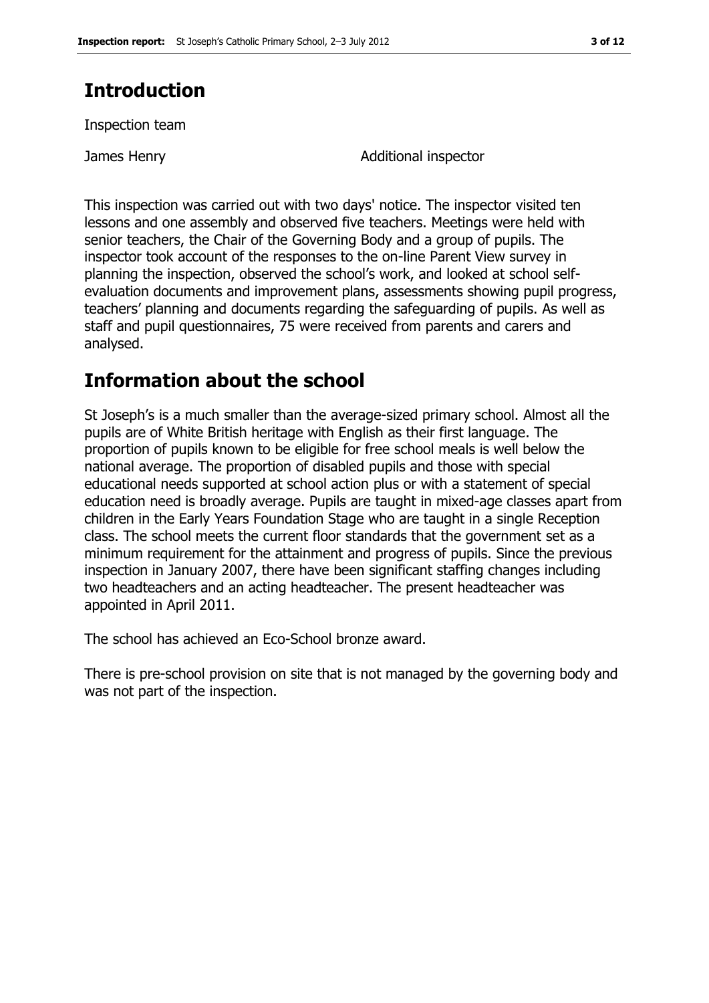# **Introduction**

Inspection team

James Henry Additional inspector

This inspection was carried out with two days' notice. The inspector visited ten lessons and one assembly and observed five teachers. Meetings were held with senior teachers, the Chair of the Governing Body and a group of pupils. The inspector took account of the responses to the on-line Parent View survey in planning the inspection, observed the school's work, and looked at school selfevaluation documents and improvement plans, assessments showing pupil progress, teachers' planning and documents regarding the safeguarding of pupils. As well as staff and pupil questionnaires, 75 were received from parents and carers and analysed.

# **Information about the school**

St Joseph's is a much smaller than the average-sized primary school. Almost all the pupils are of White British heritage with English as their first language. The proportion of pupils known to be eligible for free school meals is well below the national average. The proportion of disabled pupils and those with special educational needs supported at school action plus or with a statement of special education need is broadly average. Pupils are taught in mixed-age classes apart from children in the Early Years Foundation Stage who are taught in a single Reception class. The school meets the current floor standards that the government set as a minimum requirement for the attainment and progress of pupils. Since the previous inspection in January 2007, there have been significant staffing changes including two headteachers and an acting headteacher. The present headteacher was appointed in April 2011.

The school has achieved an Eco-School bronze award.

There is pre-school provision on site that is not managed by the governing body and was not part of the inspection.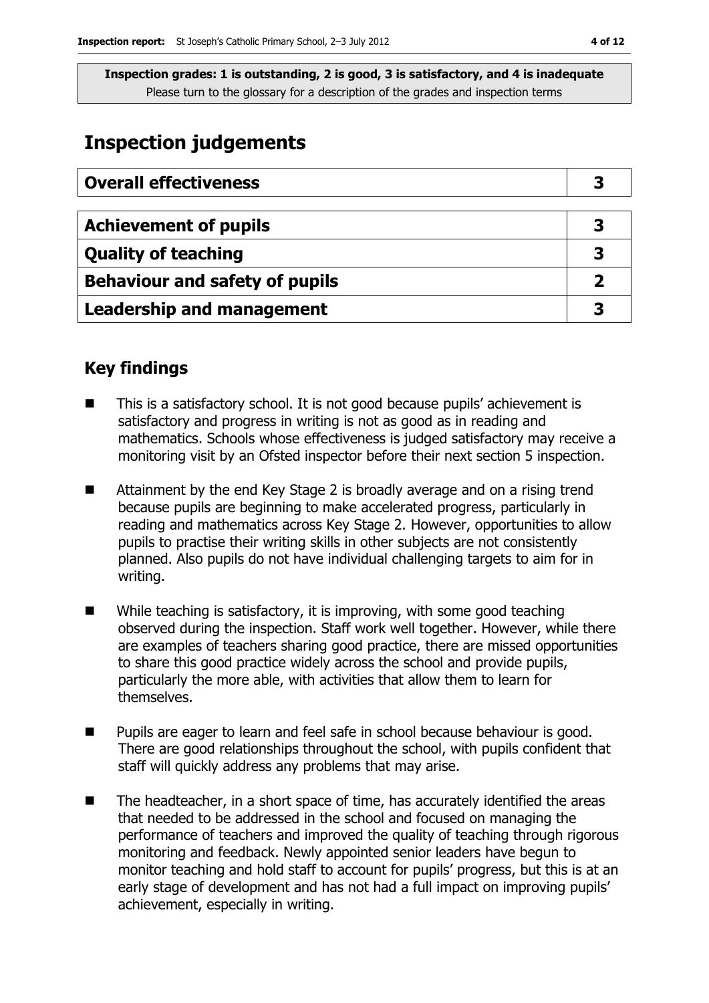# **Inspection judgements**

| <b>Overall effectiveness</b>          |   |
|---------------------------------------|---|
|                                       |   |
| <b>Achievement of pupils</b>          | 3 |
| <b>Quality of teaching</b>            | 3 |
| <b>Behaviour and safety of pupils</b> |   |
| <b>Leadership and management</b>      |   |

## **Key findings**

- This is a satisfactory school. It is not good because pupils' achievement is satisfactory and progress in writing is not as good as in reading and mathematics. Schools whose effectiveness is judged satisfactory may receive a monitoring visit by an Ofsted inspector before their next section 5 inspection.
- Attainment by the end Key Stage 2 is broadly average and on a rising trend because pupils are beginning to make accelerated progress, particularly in reading and mathematics across Key Stage 2. However, opportunities to allow pupils to practise their writing skills in other subjects are not consistently planned. Also pupils do not have individual challenging targets to aim for in writing.
- While teaching is satisfactory, it is improving, with some good teaching observed during the inspection. Staff work well together. However, while there are examples of teachers sharing good practice, there are missed opportunities to share this good practice widely across the school and provide pupils, particularly the more able, with activities that allow them to learn for themselves.
- Pupils are eager to learn and feel safe in school because behaviour is good. There are good relationships throughout the school, with pupils confident that staff will quickly address any problems that may arise.
- The headteacher, in a short space of time, has accurately identified the areas that needed to be addressed in the school and focused on managing the performance of teachers and improved the quality of teaching through rigorous monitoring and feedback. Newly appointed senior leaders have begun to monitor teaching and hold staff to account for pupils' progress, but this is at an early stage of development and has not had a full impact on improving pupils' achievement, especially in writing.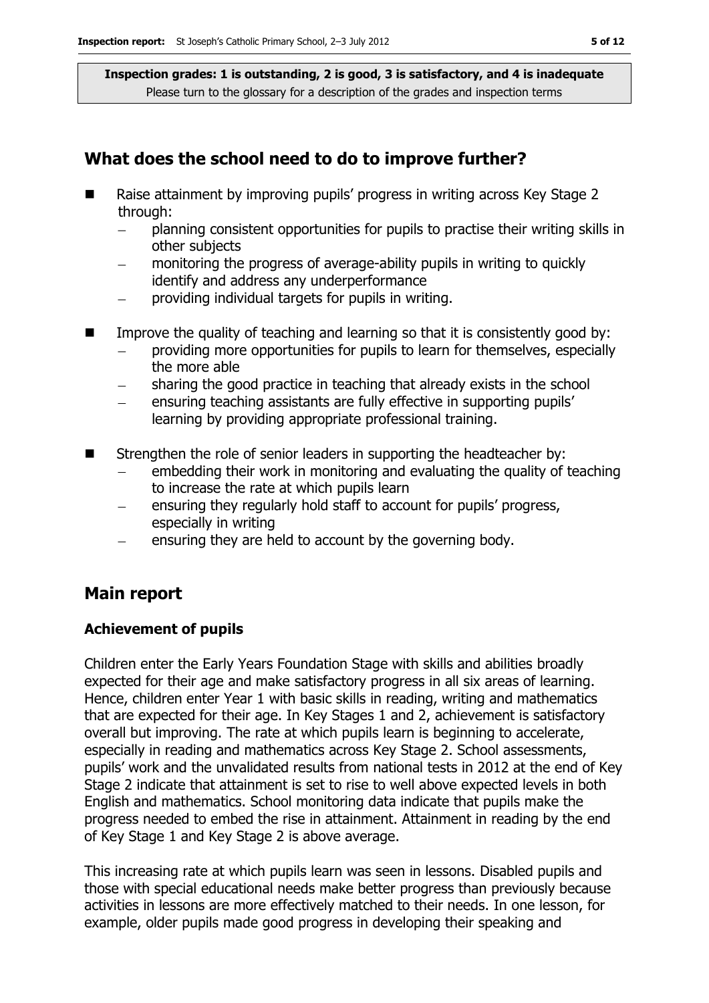## **What does the school need to do to improve further?**

- Raise attainment by improving pupils' progress in writing across Key Stage 2 through:
	- planning consistent opportunities for pupils to practise their writing skills in  $\equiv$ other subjects
	- monitoring the progress of average-ability pupils in writing to quickly identify and address any underperformance
	- providing individual targets for pupils in writing.  $\equiv$
- Improve the quality of teaching and learning so that it is consistently good by:
	- providing more opportunities for pupils to learn for themselves, especially the more able
	- sharing the good practice in teaching that already exists in the school
	- ensuring teaching assistants are fully effective in supporting pupils' learning by providing appropriate professional training.
- $\blacksquare$  Strengthen the role of senior leaders in supporting the headteacher by:
	- embedding their work in monitoring and evaluating the quality of teaching to increase the rate at which pupils learn
	- ensuring they regularly hold staff to account for pupils' progress, especially in writing
	- ensuring they are held to account by the governing body.

## **Main report**

#### **Achievement of pupils**

Children enter the Early Years Foundation Stage with skills and abilities broadly expected for their age and make satisfactory progress in all six areas of learning. Hence, children enter Year 1 with basic skills in reading, writing and mathematics that are expected for their age. In Key Stages 1 and 2, achievement is satisfactory overall but improving. The rate at which pupils learn is beginning to accelerate, especially in reading and mathematics across Key Stage 2. School assessments, pupils' work and the unvalidated results from national tests in 2012 at the end of Key Stage 2 indicate that attainment is set to rise to well above expected levels in both English and mathematics. School monitoring data indicate that pupils make the progress needed to embed the rise in attainment. Attainment in reading by the end of Key Stage 1 and Key Stage 2 is above average.

This increasing rate at which pupils learn was seen in lessons. Disabled pupils and those with special educational needs make better progress than previously because activities in lessons are more effectively matched to their needs. In one lesson, for example, older pupils made good progress in developing their speaking and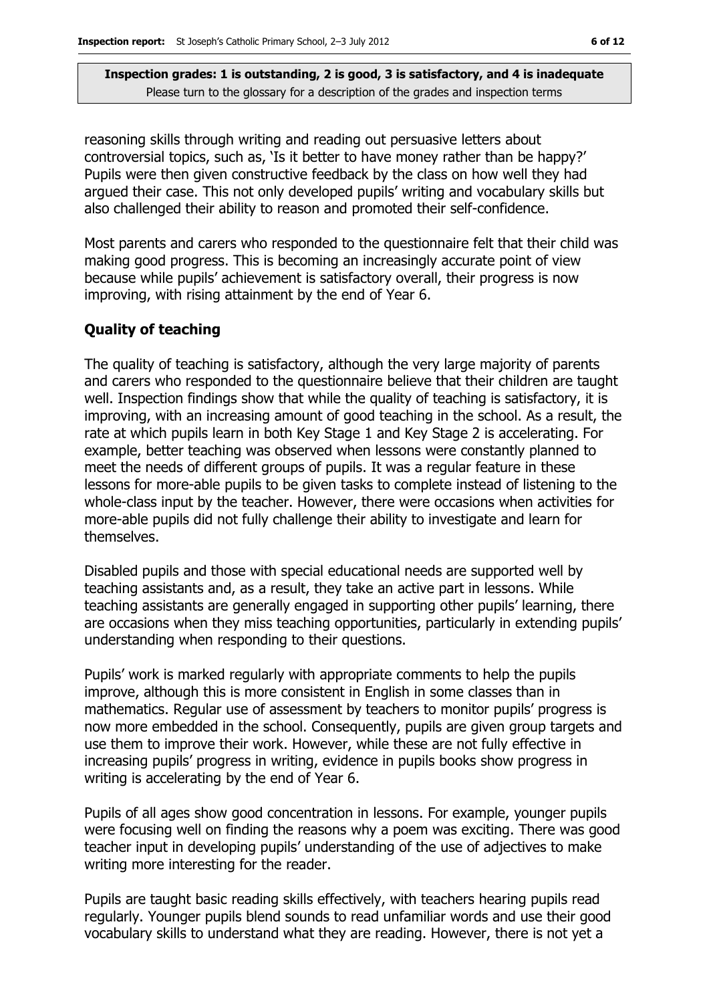reasoning skills through writing and reading out persuasive letters about controversial topics, such as, 'Is it better to have money rather than be happy?' Pupils were then given constructive feedback by the class on how well they had argued their case. This not only developed pupils' writing and vocabulary skills but also challenged their ability to reason and promoted their self-confidence.

Most parents and carers who responded to the questionnaire felt that their child was making good progress. This is becoming an increasingly accurate point of view because while pupils' achievement is satisfactory overall, their progress is now improving, with rising attainment by the end of Year 6.

#### **Quality of teaching**

The quality of teaching is satisfactory, although the very large majority of parents and carers who responded to the questionnaire believe that their children are taught well. Inspection findings show that while the quality of teaching is satisfactory, it is improving, with an increasing amount of good teaching in the school. As a result, the rate at which pupils learn in both Key Stage 1 and Key Stage 2 is accelerating. For example, better teaching was observed when lessons were constantly planned to meet the needs of different groups of pupils. It was a regular feature in these lessons for more-able pupils to be given tasks to complete instead of listening to the whole-class input by the teacher. However, there were occasions when activities for more-able pupils did not fully challenge their ability to investigate and learn for themselves.

Disabled pupils and those with special educational needs are supported well by teaching assistants and, as a result, they take an active part in lessons. While teaching assistants are generally engaged in supporting other pupils' learning, there are occasions when they miss teaching opportunities, particularly in extending pupils' understanding when responding to their questions.

Pupils' work is marked regularly with appropriate comments to help the pupils improve, although this is more consistent in English in some classes than in mathematics. Regular use of assessment by teachers to monitor pupils' progress is now more embedded in the school. Consequently, pupils are given group targets and use them to improve their work. However, while these are not fully effective in increasing pupils' progress in writing, evidence in pupils books show progress in writing is accelerating by the end of Year 6.

Pupils of all ages show good concentration in lessons. For example, younger pupils were focusing well on finding the reasons why a poem was exciting. There was good teacher input in developing pupils' understanding of the use of adjectives to make writing more interesting for the reader.

Pupils are taught basic reading skills effectively, with teachers hearing pupils read regularly. Younger pupils blend sounds to read unfamiliar words and use their good vocabulary skills to understand what they are reading. However, there is not yet a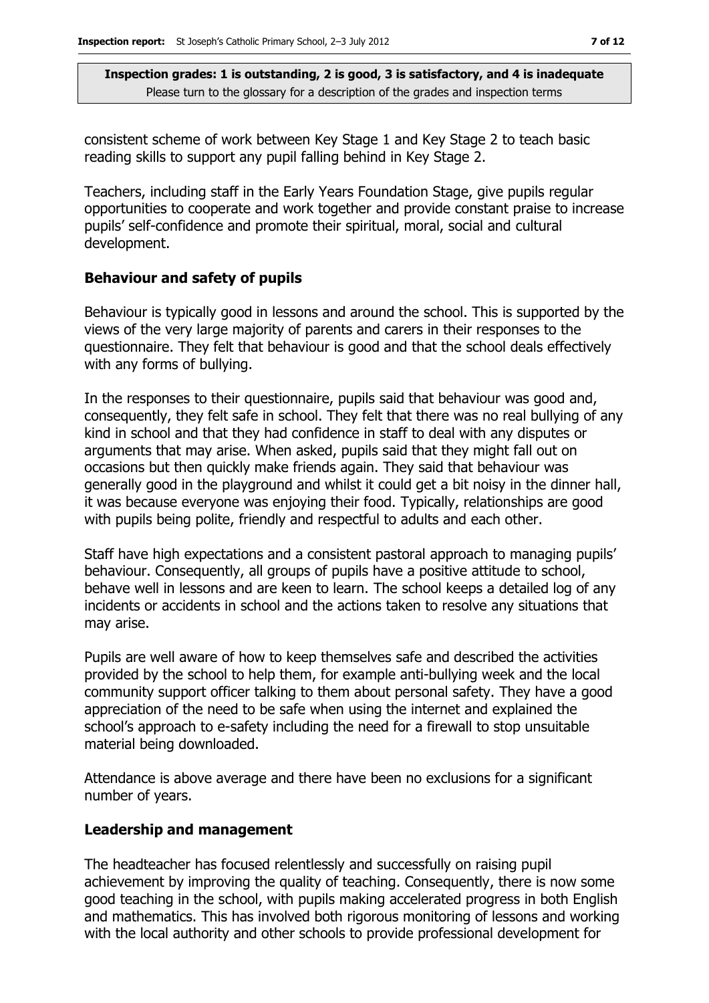consistent scheme of work between Key Stage 1 and Key Stage 2 to teach basic reading skills to support any pupil falling behind in Key Stage 2.

Teachers, including staff in the Early Years Foundation Stage, give pupils regular opportunities to cooperate and work together and provide constant praise to increase pupils' self-confidence and promote their spiritual, moral, social and cultural development.

## **Behaviour and safety of pupils**

Behaviour is typically good in lessons and around the school. This is supported by the views of the very large majority of parents and carers in their responses to the questionnaire. They felt that behaviour is good and that the school deals effectively with any forms of bullying.

In the responses to their questionnaire, pupils said that behaviour was good and, consequently, they felt safe in school. They felt that there was no real bullying of any kind in school and that they had confidence in staff to deal with any disputes or arguments that may arise. When asked, pupils said that they might fall out on occasions but then quickly make friends again. They said that behaviour was generally good in the playground and whilst it could get a bit noisy in the dinner hall, it was because everyone was enjoying their food. Typically, relationships are good with pupils being polite, friendly and respectful to adults and each other.

Staff have high expectations and a consistent pastoral approach to managing pupils' behaviour. Consequently, all groups of pupils have a positive attitude to school, behave well in lessons and are keen to learn. The school keeps a detailed log of any incidents or accidents in school and the actions taken to resolve any situations that may arise.

Pupils are well aware of how to keep themselves safe and described the activities provided by the school to help them, for example anti-bullying week and the local community support officer talking to them about personal safety. They have a good appreciation of the need to be safe when using the internet and explained the school's approach to e-safety including the need for a firewall to stop unsuitable material being downloaded.

Attendance is above average and there have been no exclusions for a significant number of years.

## **Leadership and management**

The headteacher has focused relentlessly and successfully on raising pupil achievement by improving the quality of teaching. Consequently, there is now some good teaching in the school, with pupils making accelerated progress in both English and mathematics. This has involved both rigorous monitoring of lessons and working with the local authority and other schools to provide professional development for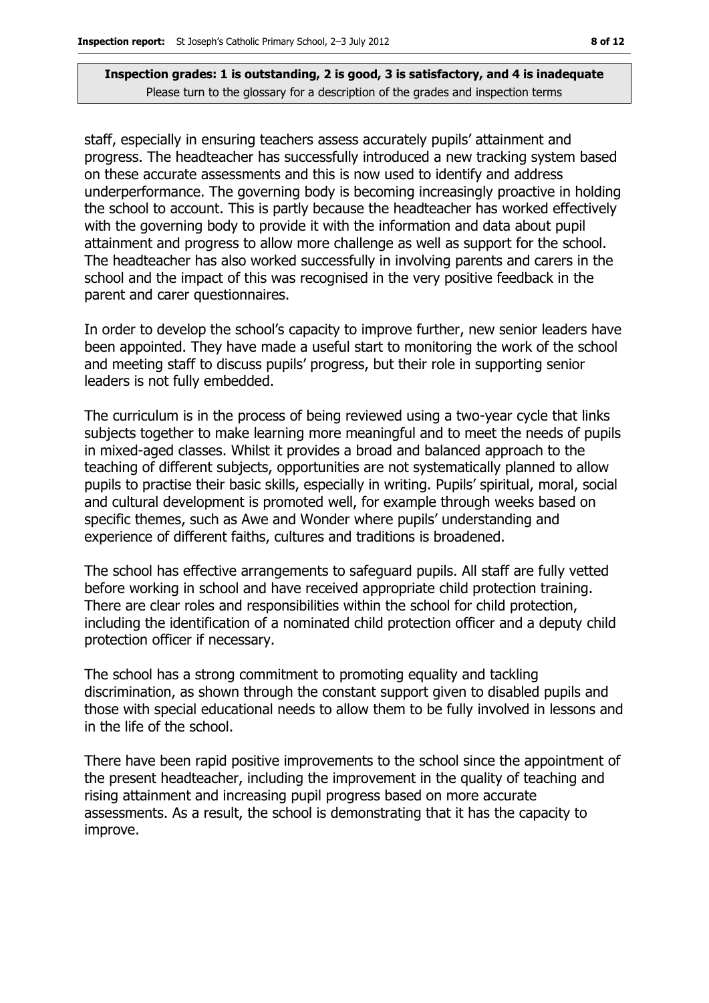staff, especially in ensuring teachers assess accurately pupils' attainment and progress. The headteacher has successfully introduced a new tracking system based on these accurate assessments and this is now used to identify and address underperformance. The governing body is becoming increasingly proactive in holding the school to account. This is partly because the headteacher has worked effectively with the governing body to provide it with the information and data about pupil attainment and progress to allow more challenge as well as support for the school. The headteacher has also worked successfully in involving parents and carers in the school and the impact of this was recognised in the very positive feedback in the parent and carer questionnaires.

In order to develop the school's capacity to improve further, new senior leaders have been appointed. They have made a useful start to monitoring the work of the school and meeting staff to discuss pupils' progress, but their role in supporting senior leaders is not fully embedded.

The curriculum is in the process of being reviewed using a two-year cycle that links subjects together to make learning more meaningful and to meet the needs of pupils in mixed-aged classes. Whilst it provides a broad and balanced approach to the teaching of different subjects, opportunities are not systematically planned to allow pupils to practise their basic skills, especially in writing. Pupils' spiritual, moral, social and cultural development is promoted well, for example through weeks based on specific themes, such as Awe and Wonder where pupils' understanding and experience of different faiths, cultures and traditions is broadened.

The school has effective arrangements to safeguard pupils. All staff are fully vetted before working in school and have received appropriate child protection training. There are clear roles and responsibilities within the school for child protection, including the identification of a nominated child protection officer and a deputy child protection officer if necessary.

The school has a strong commitment to promoting equality and tackling discrimination, as shown through the constant support given to disabled pupils and those with special educational needs to allow them to be fully involved in lessons and in the life of the school.

There have been rapid positive improvements to the school since the appointment of the present headteacher, including the improvement in the quality of teaching and rising attainment and increasing pupil progress based on more accurate assessments. As a result, the school is demonstrating that it has the capacity to improve.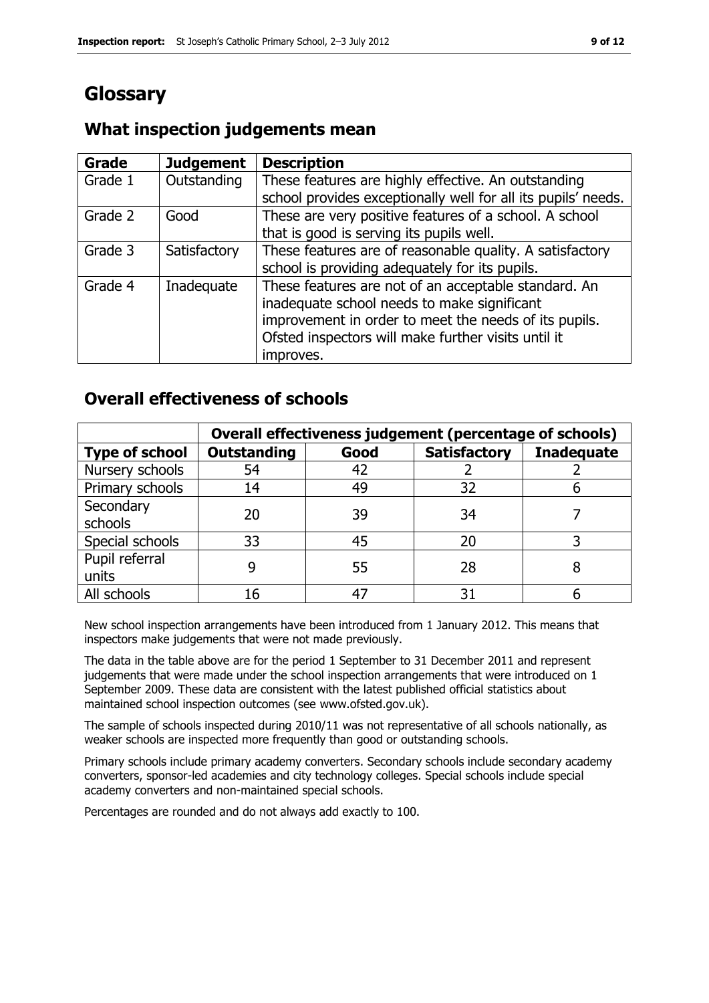# **Glossary**

#### **Grade Judgement Description** Grade  $1$  | Outstanding | These features are highly effective. An outstanding school provides exceptionally well for all its pupils' needs. Grade 2  $\Box$  Good These are very positive features of a school. A school that is good is serving its pupils well. Grade 3  $\parallel$  Satisfactory  $\parallel$  These features are of reasonable quality. A satisfactory school is providing adequately for its pupils. Grade 4 | Inadequate | These features are not of an acceptable standard. An inadequate school needs to make significant improvement in order to meet the needs of its pupils. Ofsted inspectors will make further visits until it improves.

## **What inspection judgements mean**

## **Overall effectiveness of schools**

|                         | Overall effectiveness judgement (percentage of schools) |      |                     |                   |
|-------------------------|---------------------------------------------------------|------|---------------------|-------------------|
| <b>Type of school</b>   | <b>Outstanding</b>                                      | Good | <b>Satisfactory</b> | <b>Inadequate</b> |
| Nursery schools         | 54                                                      | 42   |                     |                   |
| Primary schools         | 14                                                      | 49   | 32                  |                   |
| Secondary<br>schools    | 20                                                      | 39   | 34                  |                   |
| Special schools         | 33                                                      | 45   | 20                  |                   |
| Pupil referral<br>units |                                                         | 55   | 28                  |                   |
| All schools             | 16                                                      | 47   | 31                  |                   |

New school inspection arrangements have been introduced from 1 January 2012. This means that inspectors make judgements that were not made previously.

The data in the table above are for the period 1 September to 31 December 2011 and represent judgements that were made under the school inspection arrangements that were introduced on 1 September 2009. These data are consistent with the latest published official statistics about maintained school inspection outcomes (see www.ofsted.gov.uk).

The sample of schools inspected during 2010/11 was not representative of all schools nationally, as weaker schools are inspected more frequently than good or outstanding schools.

Primary schools include primary academy converters. Secondary schools include secondary academy converters, sponsor-led academies and city technology colleges. Special schools include special academy converters and non-maintained special schools.

Percentages are rounded and do not always add exactly to 100.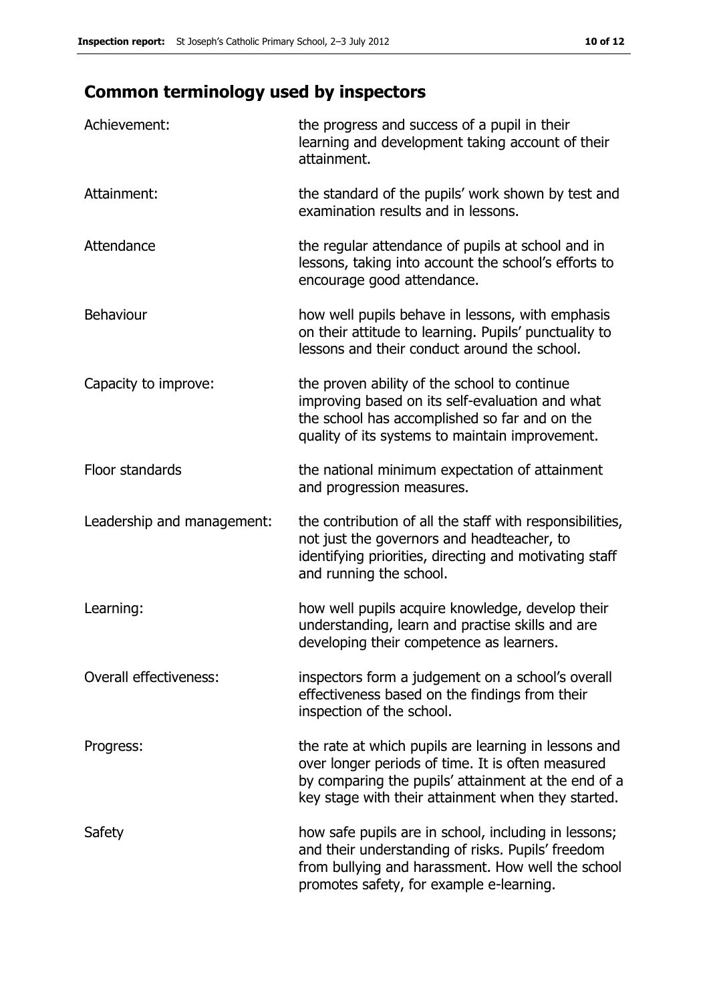# **Common terminology used by inspectors**

| Achievement:               | the progress and success of a pupil in their<br>learning and development taking account of their<br>attainment.                                                                                                        |
|----------------------------|------------------------------------------------------------------------------------------------------------------------------------------------------------------------------------------------------------------------|
| Attainment:                | the standard of the pupils' work shown by test and<br>examination results and in lessons.                                                                                                                              |
| Attendance                 | the regular attendance of pupils at school and in<br>lessons, taking into account the school's efforts to<br>encourage good attendance.                                                                                |
| <b>Behaviour</b>           | how well pupils behave in lessons, with emphasis<br>on their attitude to learning. Pupils' punctuality to<br>lessons and their conduct around the school.                                                              |
| Capacity to improve:       | the proven ability of the school to continue<br>improving based on its self-evaluation and what<br>the school has accomplished so far and on the<br>quality of its systems to maintain improvement.                    |
| Floor standards            | the national minimum expectation of attainment<br>and progression measures.                                                                                                                                            |
| Leadership and management: | the contribution of all the staff with responsibilities,<br>not just the governors and headteacher, to<br>identifying priorities, directing and motivating staff<br>and running the school.                            |
| Learning:                  | how well pupils acquire knowledge, develop their<br>understanding, learn and practise skills and are<br>developing their competence as learners.                                                                       |
| Overall effectiveness:     | inspectors form a judgement on a school's overall<br>effectiveness based on the findings from their<br>inspection of the school.                                                                                       |
| Progress:                  | the rate at which pupils are learning in lessons and<br>over longer periods of time. It is often measured<br>by comparing the pupils' attainment at the end of a<br>key stage with their attainment when they started. |
| Safety                     | how safe pupils are in school, including in lessons;<br>and their understanding of risks. Pupils' freedom<br>from bullying and harassment. How well the school<br>promotes safety, for example e-learning.             |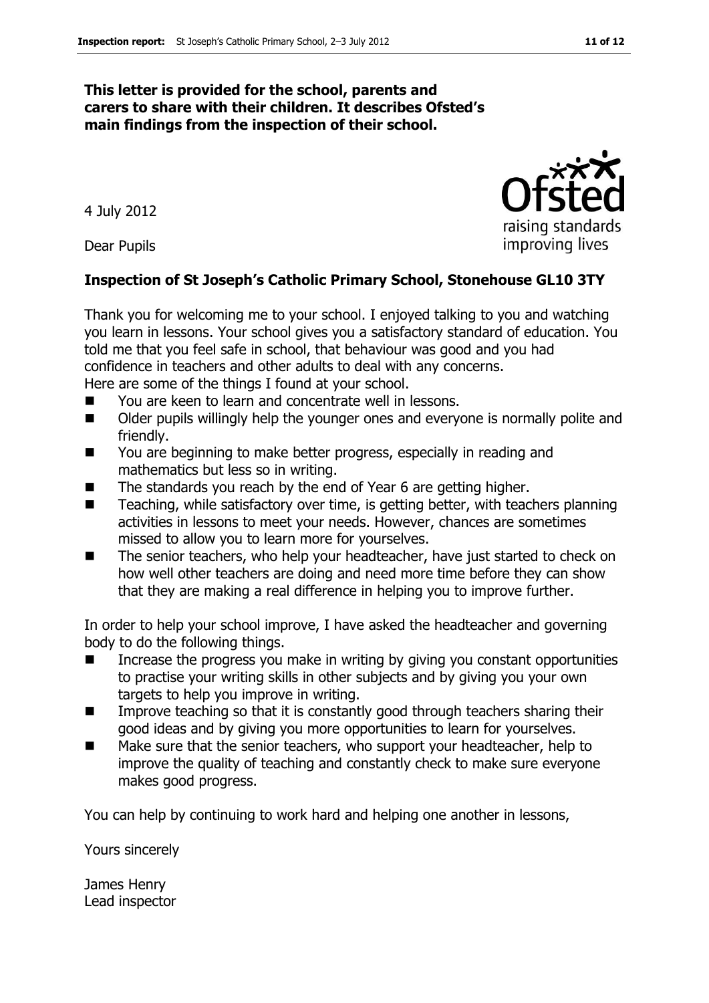#### **This letter is provided for the school, parents and carers to share with their children. It describes Ofsted's main findings from the inspection of their school.**

4 July 2012

Dear Pupils

#### **Inspection of St Joseph's Catholic Primary School, Stonehouse GL10 3TY**

Thank you for welcoming me to your school. I enjoyed talking to you and watching you learn in lessons. Your school gives you a satisfactory standard of education. You told me that you feel safe in school, that behaviour was good and you had confidence in teachers and other adults to deal with any concerns.

Here are some of the things I found at your school.

- You are keen to learn and concentrate well in lessons.
- Older pupils willingly help the younger ones and everyone is normally polite and friendly.
- You are beginning to make better progress, especially in reading and mathematics but less so in writing.
- The standards you reach by the end of Year 6 are getting higher.
- $\blacksquare$  Teaching, while satisfactory over time, is getting better, with teachers planning activities in lessons to meet your needs. However, chances are sometimes missed to allow you to learn more for yourselves.
- The senior teachers, who help your headteacher, have just started to check on how well other teachers are doing and need more time before they can show that they are making a real difference in helping you to improve further.

In order to help your school improve, I have asked the headteacher and governing body to do the following things.

- $\blacksquare$  Increase the progress you make in writing by giving you constant opportunities to practise your writing skills in other subjects and by giving you your own targets to help you improve in writing.
- Improve teaching so that it is constantly good through teachers sharing their good ideas and by giving you more opportunities to learn for yourselves.
- Make sure that the senior teachers, who support your headteacher, help to improve the quality of teaching and constantly check to make sure everyone makes good progress.

You can help by continuing to work hard and helping one another in lessons,

Yours sincerely

James Henry Lead inspector